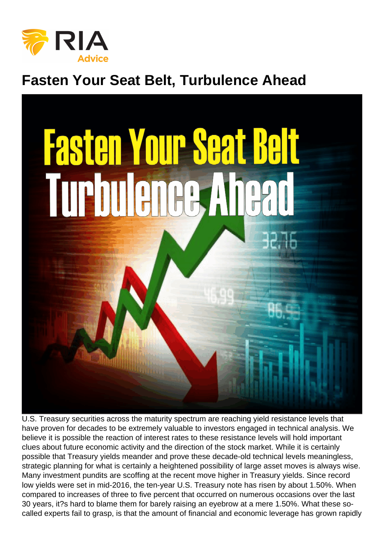## Fasten Your Seat Belt, Turbulence Ahead

U.S. Treasury securities across the maturity spectrum are reaching yield resistance levels that have proven for decades to be extremely valuable to investors engaged in technical analysis. We believe it is possible the reaction of interest rates to these resistance levels will hold important clues about future economic activity and the direction of the stock market. While it is certainly possible that Treasury yields meander and prove these decade-old technical levels meaningless, strategic planning for what is certainly a heightened possibility of large asset moves is always wise. Many investment pundits are scoffing at the recent move higher in Treasury yields. Since record low yields were set in mid-2016, the ten-year U.S. Treasury note has risen by about 1.50%. When compared to increases of three to five percent that occurred on numerous occasions over the last 30 years, it?s hard to blame them for barely raising an eyebrow at a mere 1.50%. What these socalled experts fail to grasp, is that the amount of financial and economic leverage has grown rapidly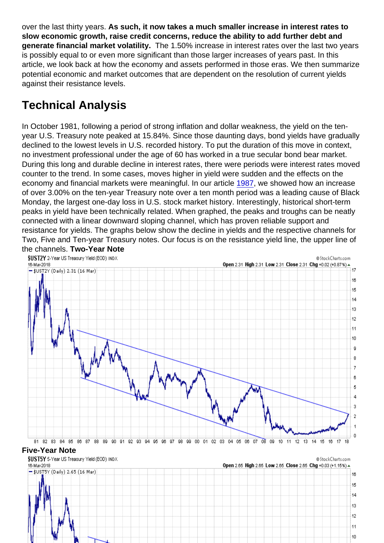over the last thirty years. As such, it now takes a much smaller increase in interest rates to slow economic growth, raise credit concerns, reduce the ability to add further debt and generate financial market volatility. The 1.50% increase in interest rates over the last two years is possibly equal to or even more significant than those larger increases of years past. In this article, we look back at how the economy and assets performed in those eras. We then summarize potential economic and market outcomes that are dependent on the resolution of current yields against their resistance levels.

## Technical Analysis

In October 1981, following a period of strong inflation and dollar weakness, the yield on the tenyear U.S. Treasury note peaked at 15.84%. Since those daunting days, bond yields have gradually declined to the lowest levels in U.S. recorded history. To put the duration of this move in context, no investment professional under the age of 60 has worked in a true secular bond bear market. During this long and durable decline in interest rates, there were periods were interest rates moved counter to the trend. In some cases, moves higher in yield were sudden and the effects on the economy and financial markets were meaningful. In our article [1987](https://realinvestmentadvice.com/1987/?utm_medium=email&utm_campaign=RIA Special Report 1987 new link&utm_content=RIA Special Report 1987 new link+CID_3446e5bb42edad9968c782d0dcaf2e88&utm_source=RIA Email Marketing Software&utm_term=READ MORE), we showed how an increase of over 3.00% on the ten-year Treasury note over a ten month period was a leading cause of Black Monday, the largest one-day loss in U.S. stock market history. Interestingly, historical short-term peaks in yield have been technically related. When graphed, the peaks and troughs can be neatly connected with a linear downward sloping channel, which has proven reliable support and resistance for yields. The graphs below show the decline in yields and the respective channels for Two, Five and Ten-year Treasury notes. Our focus is on the resistance yield line, the upper line of the channels. Two-Year Note

Five-Year Note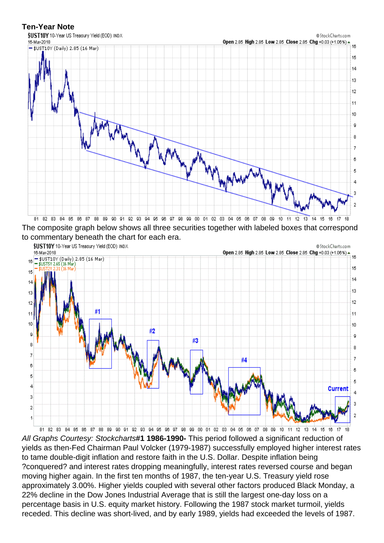The composite graph below shows all three securities together with labeled boxes that correspond to commentary beneath the chart for each era.

All Graphs Courtesy: Stockcharts#1 1986-1990- This period followed a significant reduction of yields as then-Fed Chairman Paul Volcker (1979-1987) successfully employed higher interest rates to tame double-digit inflation and restore faith in the U.S. Dollar. Despite inflation being ?conquered? and interest rates dropping meaningfully, interest rates reversed course and began moving higher again. In the first ten months of 1987, the ten-year U.S. Treasury yield rose approximately 3.00%. Higher yields coupled with several other factors produced Black Monday, a 22% decline in the Dow Jones Industrial Average that is still the largest one-day loss on a percentage basis in U.S. equity market history. Following the 1987 stock market turmoil, yields receded. This decline was short-lived, and by early 1989, yields had exceeded the levels of 1987.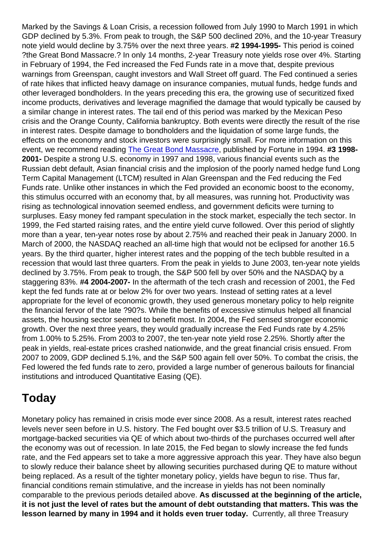Marked by the Savings & Loan Crisis, a recession followed from July 1990 to March 1991 in which GDP declined by 5.3%. From peak to trough, the S&P 500 declined 20%, and the 10-year Treasury note yield would decline by 3.75% over the next three years. #2 1994-1995- This period is coined ?the Great Bond Massacre.? In only 14 months, 2-year Treasury note yields rose over 4%. Starting in February of 1994, the Fed increased the Fed Funds rate in a move that, despite previous warnings from Greenspan, caught investors and Wall Street off guard. The Fed continued a series of rate hikes that inflicted heavy damage on insurance companies, mutual funds, hedge funds and other leveraged bondholders. In the years preceding this era, the growing use of securitized fixed income products, derivatives and leverage magnified the damage that would typically be caused by a similar change in interest rates. The tail end of this period was marked by the Mexican Peso crisis and the Orange County, California bankruptcy. Both events were directly the result of the rise in interest rates. Despite damage to bondholders and the liquidation of some large funds, the effects on the economy and stock investors were surprisingly small. For more information on this event, we recommend reading [The Great Bond Massacre](http://fortune.com/2013/02/03/the-great-bond-massacre-fortune-1994/), published by Fortune in 1994. #3 1998- 2001- Despite a strong U.S. economy in 1997 and 1998, various financial events such as the Russian debt default, Asian financial crisis and the implosion of the poorly named hedge fund Long Term Capital Management (LTCM) resulted in Alan Greenspan and the Fed reducing the Fed Funds rate. Unlike other instances in which the Fed provided an economic boost to the economy, this stimulus occurred with an economy that, by all measures, was running hot. Productivity was rising as technological innovation seemed endless, and government deficits were turning to surpluses. Easy money fed rampant speculation in the stock market, especially the tech sector. In 1999, the Fed started raising rates, and the entire yield curve followed. Over this period of slightly more than a year, ten-year notes rose by about 2.75% and reached their peak in January 2000. In March of 2000, the NASDAQ reached an all-time high that would not be eclipsed for another 16.5 years. By the third quarter, higher interest rates and the popping of the tech bubble resulted in a recession that would last three quarters. From the peak in yields to June 2003, ten-year note yields declined by 3.75%. From peak to trough, the S&P 500 fell by over 50% and the NASDAQ by a staggering 83%. #4 2004-2007- In the aftermath of the tech crash and recession of 2001, the Fed kept the fed funds rate at or below 2% for over two years. Instead of setting rates at a level appropriate for the level of economic growth, they used generous monetary policy to help reignite the financial fervor of the late ?90?s. While the benefits of excessive stimulus helped all financial assets, the housing sector seemed to benefit most. In 2004, the Fed sensed stronger economic growth. Over the next three years, they would gradually increase the Fed Funds rate by 4.25% from 1.00% to 5.25%. From 2003 to 2007, the ten-year note yield rose 2.25%. Shortly after the peak in yields, real-estate prices crashed nationwide, and the great financial crisis ensued. From 2007 to 2009, GDP declined 5.1%, and the S&P 500 again fell over 50%. To combat the crisis, the Fed lowered the fed funds rate to zero, provided a large number of generous bailouts for financial institutions and introduced Quantitative Easing (QE).

## **Today**

Monetary policy has remained in crisis mode ever since 2008. As a result, interest rates reached levels never seen before in U.S. history. The Fed bought over \$3.5 trillion of U.S. Treasury and mortgage-backed securities via QE of which about two-thirds of the purchases occurred well after the economy was out of recession. In late 2015, the Fed began to slowly increase the fed funds rate, and the Fed appears set to take a more aggressive approach this year. They have also begun to slowly reduce their balance sheet by allowing securities purchased during QE to mature without being replaced. As a result of the tighter monetary policy, yields have begun to rise. Thus far, financial conditions remain stimulative, and the increase in yields has not been nominally comparable to the previous periods detailed above. As discussed at the beginning of the article, it is not just the level of rates but the amount of debt outstanding that matters. This was the lesson learned by many in 1994 and it holds even truer today. Currently, all three Treasury